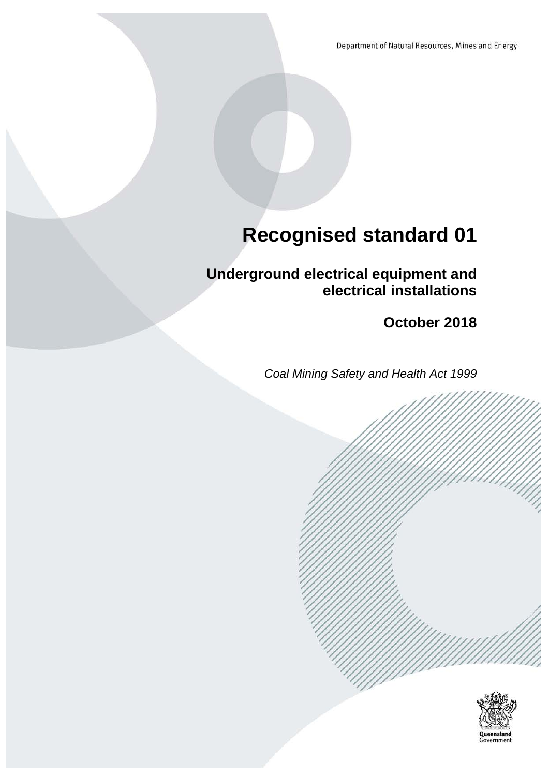Department of Natural Resources, Mines and Energy

# **Recognised standard 01**

**Underground electrical equipment and electrical installations**

**October 2018**

*Coal Mining Safety and Health Act 1999*

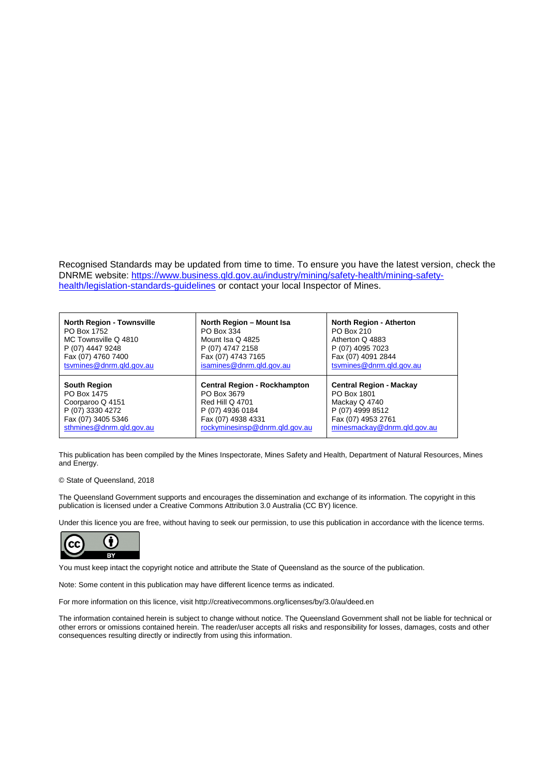Recognised Standards may be updated from time to time. To ensure you have the latest version, check the DNRME website: [https://www.business.qld.gov.au/industry/mining/safety-health/mining-safety](https://www.business.qld.gov.au/industry/mining/safety-health/mining-safety-health/legislation-standards-guidelines)[health/legislation-standards-guidelines](https://www.business.qld.gov.au/industry/mining/safety-health/mining-safety-health/legislation-standards-guidelines) or contact your local Inspector of Mines.

| <b>North Region - Townsville</b> | North Region - Mount Isa            | <b>North Region - Atherton</b> |
|----------------------------------|-------------------------------------|--------------------------------|
| PO Box 1752                      | PO Box 334                          | PO Box 210                     |
| MC Townsville Q 4810             | Mount Isa Q 4825                    | Atherton Q 4883                |
| P (07) 4447 9248                 | P (07) 4747 2158                    | P (07) 4095 7023               |
| Fax (07) 4760 7400               | Fax (07) 4743 7165                  | Fax (07) 4091 2844             |
| tsymines@dnrm.gld.gov.au         | isamines@dnrm.gld.gov.au            | tsymines@dnrm.qld.gov.au       |
| <b>South Region</b>              | <b>Central Region - Rockhampton</b> | <b>Central Region - Mackay</b> |
| PO Box 1475                      | PO Box 3679                         | PO Box 1801                    |
| Coorparoo Q 4151                 | <b>Red Hill Q 4701</b>              | Mackay Q 4740                  |
| P (07) 3330 4272                 | P (07) 4936 0184                    | P (07) 4999 8512               |
| Fax (07) 3405 5346               | Fax (07) 4938 4331                  | Fax (07) 4953 2761             |
| sthmines@dnrm.qld.gov.au         | rockyminesinsp@dnrm.qld.gov.au      | minesmackay@dnrm.gld.gov.au    |

This publication has been compiled by the Mines Inspectorate, Mines Safety and Health, Department of Natural Resources, Mines and Energy.

#### © State of Queensland, 2018

The Queensland Government supports and encourages the dissemination and exchange of its information. The copyright in this publication is licensed under a Creative Commons Attribution 3.0 Australia (CC BY) licence.

Under this licence you are free, without having to seek our permission, to use this publication in accordance with the licence terms.



You must keep intact the copyright notice and attribute the State of Queensland as the source of the publication.

Note: Some content in this publication may have different licence terms as indicated.

For more information on this licence, visit http://creativecommons.org/licenses/by/3.0/au/deed.en

The information contained herein is subject to change without notice. The Queensland Government shall not be liable for technical or other errors or omissions contained herein. The reader/user accepts all risks and responsibility for losses, damages, costs and other consequences resulting directly or indirectly from using this information.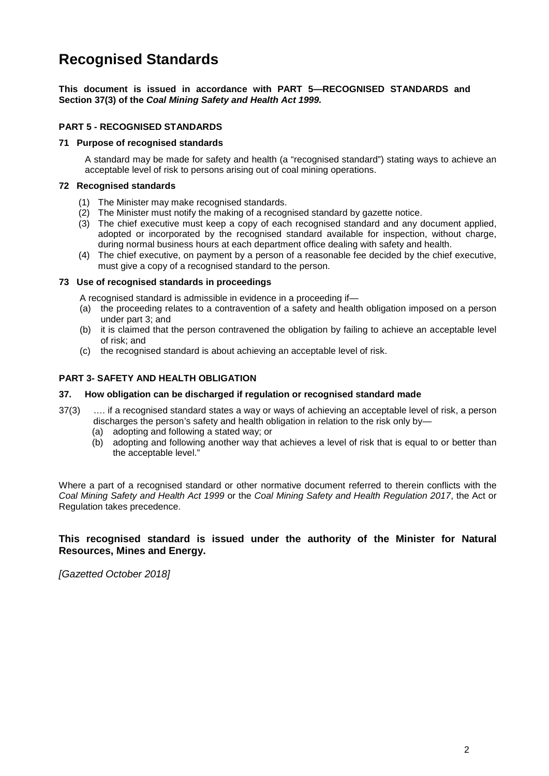## **Recognised Standards**

**This document is issued in accordance with PART 5—RECOGNISED STANDARDS and Section 37(3) of the** *Coal Mining Safety and Health Act 1999.*

#### **PART 5 - RECOGNISED STANDARDS**

#### **71 Purpose of recognised standards**

A standard may be made for safety and health (a "recognised standard") stating ways to achieve an acceptable level of risk to persons arising out of coal mining operations.

#### **72 Recognised standards**

- (1) The Minister may make recognised standards.
- (2) The Minister must notify the making of a recognised standard by gazette notice.
- (3) The chief executive must keep a copy of each recognised standard and any document applied, adopted or incorporated by the recognised standard available for inspection, without charge, during normal business hours at each department office dealing with safety and health.
- (4) The chief executive, on payment by a person of a reasonable fee decided by the chief executive, must give a copy of a recognised standard to the person.

#### **73 Use of recognised standards in proceedings**

A recognised standard is admissible in evidence in a proceeding if—

- (a) the proceeding relates to a contravention of a safety and health obligation imposed on a person under part 3; and
- (b) it is claimed that the person contravened the obligation by failing to achieve an acceptable level of risk; and
- (c) the recognised standard is about achieving an acceptable level of risk.

#### **PART 3- SAFETY AND HEALTH OBLIGATION**

#### **37. How obligation can be discharged if regulation or recognised standard made**

- 37(3) …. if a recognised standard states a way or ways of achieving an acceptable level of risk, a person discharges the person's safety and health obligation in relation to the risk only by—
	- (a) adopting and following a stated way; or
	- (b) adopting and following another way that achieves a level of risk that is equal to or better than the acceptable level."

Where a part of a recognised standard or other normative document referred to therein conflicts with the *Coal Mining Safety and Health Act 1999* or the *Coal Mining Safety and Health Regulation 2017*, the Act or Regulation takes precedence.

#### **This recognised standard is issued under the authority of the Minister for Natural Resources, Mines and Energy.**

*[Gazetted October 2018]*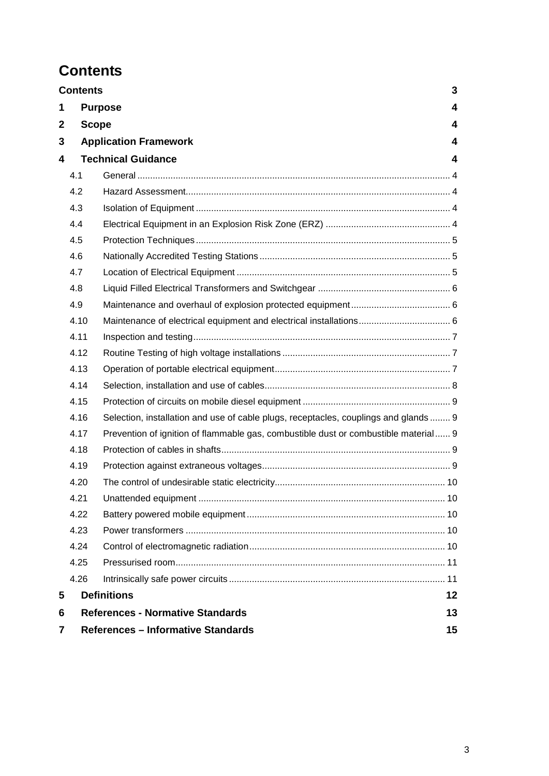## <span id="page-3-0"></span>**Contents**

|   | 3<br><b>Contents</b>                            |                                                                                     |   |  |  |
|---|-------------------------------------------------|-------------------------------------------------------------------------------------|---|--|--|
| 1 |                                                 | <b>Purpose</b>                                                                      | 4 |  |  |
| 2 |                                                 | $\overline{\mathbf{4}}$<br><b>Scope</b>                                             |   |  |  |
| 3 |                                                 | <b>Application Framework</b><br>4                                                   |   |  |  |
| 4 |                                                 | <b>Technical Guidance</b><br>$\overline{\mathbf{4}}$                                |   |  |  |
|   | 4.1                                             |                                                                                     |   |  |  |
|   | 4.2                                             |                                                                                     |   |  |  |
|   | 4.3                                             |                                                                                     |   |  |  |
|   | 4.4                                             |                                                                                     |   |  |  |
|   | 4.5                                             |                                                                                     |   |  |  |
|   | 4.6                                             |                                                                                     |   |  |  |
|   | 4.7                                             |                                                                                     |   |  |  |
|   | 4.8                                             |                                                                                     |   |  |  |
|   | 4.9                                             |                                                                                     |   |  |  |
|   | 4.10                                            |                                                                                     |   |  |  |
|   | 4.11                                            |                                                                                     |   |  |  |
|   | 4.12                                            |                                                                                     |   |  |  |
|   | 4.13                                            |                                                                                     |   |  |  |
|   | 4.14                                            |                                                                                     |   |  |  |
|   | 4.15                                            |                                                                                     |   |  |  |
|   | 4.16                                            | Selection, installation and use of cable plugs, receptacles, couplings and glands 9 |   |  |  |
|   | 4.17                                            | Prevention of ignition of flammable gas, combustible dust or combustible material 9 |   |  |  |
|   | 4.18                                            |                                                                                     |   |  |  |
|   | 4.19                                            |                                                                                     |   |  |  |
|   | 4.20                                            |                                                                                     |   |  |  |
|   | 4.21                                            |                                                                                     |   |  |  |
|   | 4.22                                            |                                                                                     |   |  |  |
|   | 4.23                                            |                                                                                     |   |  |  |
|   | 4.24                                            |                                                                                     |   |  |  |
|   | 4.25                                            |                                                                                     |   |  |  |
|   | 4.26                                            |                                                                                     |   |  |  |
| 5 | <b>Definitions</b><br>12                        |                                                                                     |   |  |  |
| 6 | <b>References - Normative Standards</b><br>13   |                                                                                     |   |  |  |
| 7 | <b>References - Informative Standards</b><br>15 |                                                                                     |   |  |  |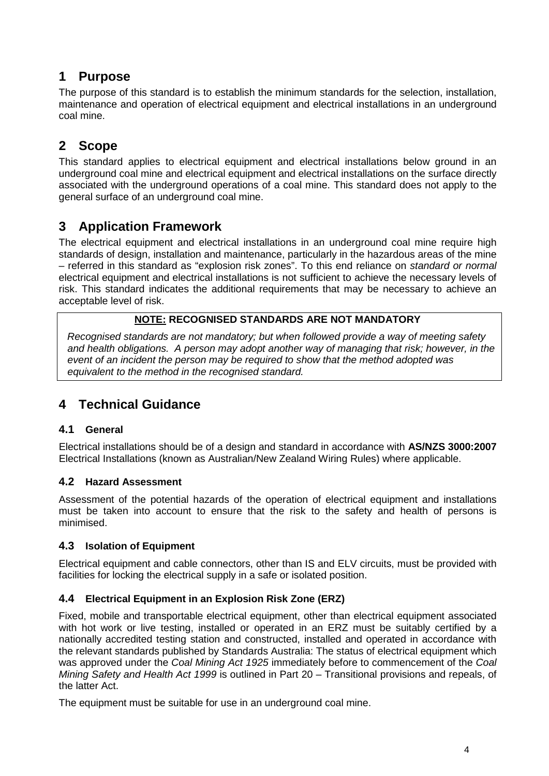## <span id="page-4-0"></span>**1 Purpose**

The purpose of this standard is to establish the minimum standards for the selection, installation, maintenance and operation of electrical equipment and electrical installations in an underground coal mine.

## <span id="page-4-1"></span>**2 Scope**

This standard applies to electrical equipment and electrical installations below ground in an underground coal mine and electrical equipment and electrical installations on the surface directly associated with the underground operations of a coal mine. This standard does not apply to the general surface of an underground coal mine.

## <span id="page-4-2"></span>**3 Application Framework**

The electrical equipment and electrical installations in an underground coal mine require high standards of design, installation and maintenance, particularly in the hazardous areas of the mine – referred in this standard as "explosion risk zones". To this end reliance on *standard or normal* electrical equipment and electrical installations is not sufficient to achieve the necessary levels of risk. This standard indicates the additional requirements that may be necessary to achieve an acceptable level of risk.

### **NOTE: RECOGNISED STANDARDS ARE NOT MANDATORY**

 *Recognised standards are not mandatory; but when followed provide a way of meeting safety and health obligations. A person may adopt another way of managing that risk; however, in the event of an incident the person may be required to show that the method adopted was equivalent to the method in the recognised standard.*

## <span id="page-4-3"></span>**4 Technical Guidance**

### <span id="page-4-4"></span>**4.1 General**

Electrical installations should be of a design and standard in accordance with **AS/NZS 3000:2007**  Electrical Installations (known as Australian/New Zealand Wiring Rules) where applicable.

### <span id="page-4-5"></span>**4.2 Hazard Assessment**

Assessment of the potential hazards of the operation of electrical equipment and installations must be taken into account to ensure that the risk to the safety and health of persons is minimised.

### <span id="page-4-6"></span>**4.3 Isolation of Equipment**

Electrical equipment and cable connectors, other than IS and ELV circuits, must be provided with facilities for locking the electrical supply in a safe or isolated position.

### <span id="page-4-7"></span>**4.4 Electrical Equipment in an Explosion Risk Zone (ERZ)**

Fixed, mobile and transportable electrical equipment, other than electrical equipment associated with hot work or live testing, installed or operated in an ERZ must be suitably certified by a nationally accredited testing station and constructed, installed and operated in accordance with the relevant standards published by Standards Australia: The status of electrical equipment which was approved under the *Coal Mining Act 1925* immediately before to commencement of the *Coal Mining Safety and Health Act 1999* is outlined in Part 20 – Transitional provisions and repeals, of the latter Act.

The equipment must be suitable for use in an underground coal mine.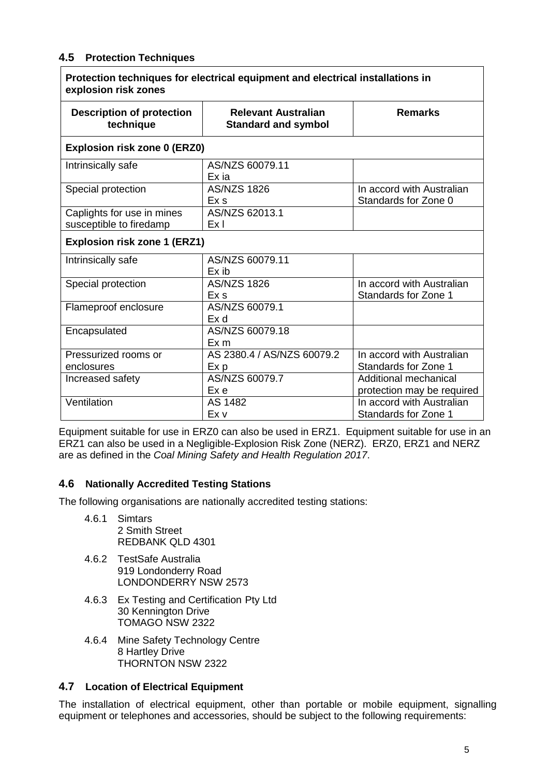### <span id="page-5-0"></span>**4.5 Protection Techniques**

| Protection techniques for electrical equipment and electrical installations in<br>explosion risk zones |                                                          |                                                     |  |  |  |
|--------------------------------------------------------------------------------------------------------|----------------------------------------------------------|-----------------------------------------------------|--|--|--|
| <b>Description of protection</b><br>technique                                                          | <b>Relevant Australian</b><br><b>Standard and symbol</b> | <b>Remarks</b>                                      |  |  |  |
| Explosion risk zone 0 (ERZ0)                                                                           |                                                          |                                                     |  |  |  |
| Intrinsically safe                                                                                     | AS/NZS 60079.11<br>Ex ia                                 |                                                     |  |  |  |
| Special protection                                                                                     | <b>AS/NZS 1826</b><br>Ex s                               | In accord with Australian<br>Standards for Zone 0   |  |  |  |
| Caplights for use in mines<br>susceptible to firedamp                                                  | AS/NZS 62013.1<br>Ex I                                   |                                                     |  |  |  |
| <b>Explosion risk zone 1 (ERZ1)</b>                                                                    |                                                          |                                                     |  |  |  |
| Intrinsically safe                                                                                     | AS/NZS 60079.11<br>Ex ib                                 |                                                     |  |  |  |
| Special protection                                                                                     | <b>AS/NZS 1826</b><br>Ex s                               | In accord with Australian<br>Standards for Zone 1   |  |  |  |
| Flameproof enclosure                                                                                   | AS/NZS 60079.1<br>Ex d                                   |                                                     |  |  |  |
| Encapsulated                                                                                           | AS/NZS 60079.18<br>Ex m                                  |                                                     |  |  |  |
| Pressurized rooms or<br>enclosures                                                                     | AS 2380.4 / AS/NZS 60079.2<br>Ex p                       | In accord with Australian<br>Standards for Zone 1   |  |  |  |
| Increased safety                                                                                       | AS/NZS 60079.7<br>Ex e                                   | Additional mechanical<br>protection may be required |  |  |  |
| Ventilation                                                                                            | AS 1482<br>Ex v                                          | In accord with Australian<br>Standards for Zone 1   |  |  |  |

Equipment suitable for use in ERZ0 can also be used in ERZ1. Equipment suitable for use in an ERZ1 can also be used in a Negligible-Explosion Risk Zone (NERZ). ERZ0, ERZ1 and NERZ are as defined in the *Coal Mining Safety and Health Regulation 2017*.

### <span id="page-5-1"></span>**4.6 Nationally Accredited Testing Stations**

The following organisations are nationally accredited testing stations:

- 4.6.1 Simtars 2 Smith Street REDBANK QLD 4301
- 4.6.2 TestSafe Australia 919 Londonderry Road LONDONDERRY NSW 2573
- 4.6.3 Ex Testing and Certification Pty Ltd 30 Kennington Drive TOMAGO NSW 2322
- 4.6.4 Mine Safety Technology Centre 8 Hartley Drive THORNTON NSW 2322

### <span id="page-5-2"></span>**4.7 Location of Electrical Equipment**

The installation of electrical equipment, other than portable or mobile equipment, signalling equipment or telephones and accessories, should be subject to the following requirements: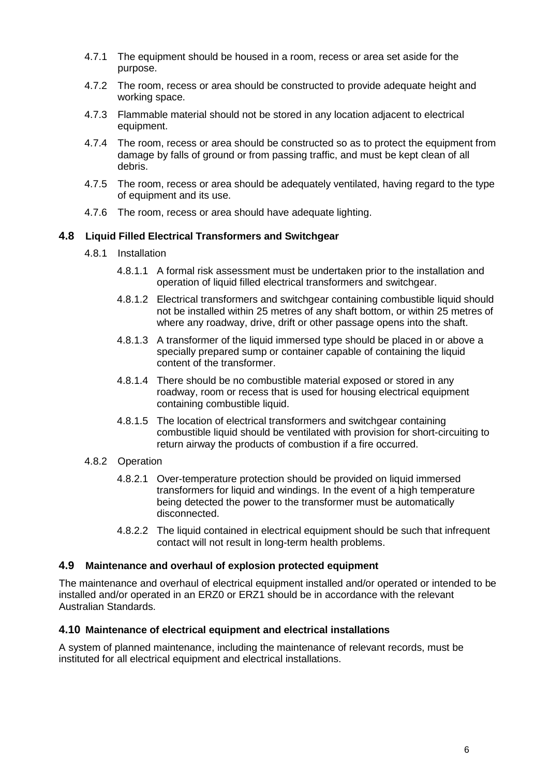- 4.7.1 The equipment should be housed in a room, recess or area set aside for the purpose.
- 4.7.2 The room, recess or area should be constructed to provide adequate height and working space.
- 4.7.3 Flammable material should not be stored in any location adjacent to electrical equipment.
- 4.7.4 The room, recess or area should be constructed so as to protect the equipment from damage by falls of ground or from passing traffic, and must be kept clean of all debris.
- 4.7.5 The room, recess or area should be adequately ventilated, having regard to the type of equipment and its use.
- 4.7.6 The room, recess or area should have adequate lighting.

#### <span id="page-6-0"></span>**4.8 Liquid Filled Electrical Transformers and Switchgear**

- 4.8.1 Installation
	- 4.8.1.1 A formal risk assessment must be undertaken prior to the installation and operation of liquid filled electrical transformers and switchgear.
	- 4.8.1.2 Electrical transformers and switchgear containing combustible liquid should not be installed within 25 metres of any shaft bottom, or within 25 metres of where any roadway, drive, drift or other passage opens into the shaft.
	- 4.8.1.3 A transformer of the liquid immersed type should be placed in or above a specially prepared sump or container capable of containing the liquid content of the transformer.
	- 4.8.1.4 There should be no combustible material exposed or stored in any roadway, room or recess that is used for housing electrical equipment containing combustible liquid.
	- 4.8.1.5 The location of electrical transformers and switchgear containing combustible liquid should be ventilated with provision for short-circuiting to return airway the products of combustion if a fire occurred.
- 4.8.2 Operation
	- 4.8.2.1 Over-temperature protection should be provided on liquid immersed transformers for liquid and windings. In the event of a high temperature being detected the power to the transformer must be automatically disconnected.
	- 4.8.2.2 The liquid contained in electrical equipment should be such that infrequent contact will not result in long-term health problems.

#### <span id="page-6-1"></span>**4.9 Maintenance and overhaul of explosion protected equipment**

The maintenance and overhaul of electrical equipment installed and/or operated or intended to be installed and/or operated in an ERZ0 or ERZ1 should be in accordance with the relevant Australian Standards.

#### <span id="page-6-2"></span>**4.10 Maintenance of electrical equipment and electrical installations**

A system of planned maintenance, including the maintenance of relevant records, must be instituted for all electrical equipment and electrical installations.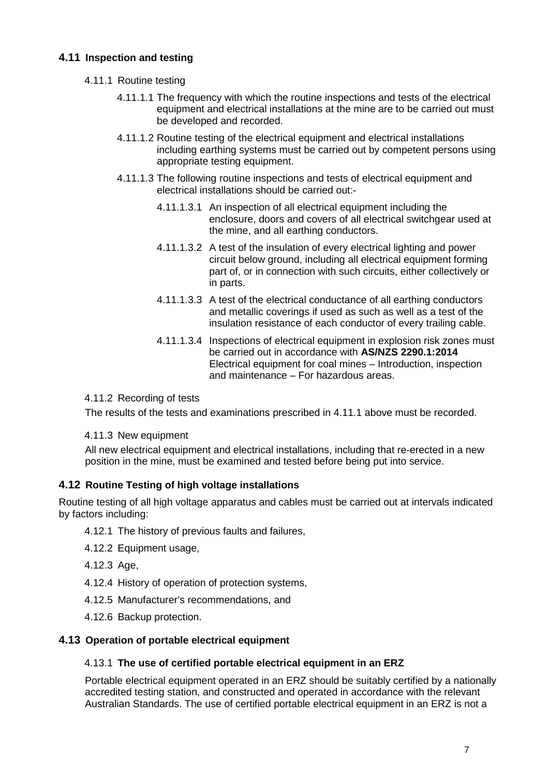### <span id="page-7-0"></span>**4.11 Inspection and testing**

- 4.11.1 Routine testing
	- 4.11.1.1 The frequency with which the routine inspections and tests of the electrical equipment and electrical installations at the mine are to be carried out must be developed and recorded.
	- 4.11.1.2 Routine testing of the electrical equipment and electrical installations including earthing systems must be carried out by competent persons using appropriate testing equipment.
	- 4.11.1.3 The following routine inspections and tests of electrical equipment and electrical installations should be carried out:-
		- 4.11.1.3.1 An inspection of all electrical equipment including the enclosure, doors and covers of all electrical switchgear used at the mine, and all earthing conductors.
		- 4.11.1.3.2 A test of the insulation of every electrical lighting and power circuit below ground, including all electrical equipment forming part of, or in connection with such circuits, either collectively or in parts.
		- 4.11.1.3.3 A test of the electrical conductance of all earthing conductors and metallic coverings if used as such as well as a test of the insulation resistance of each conductor of every trailing cable.
		- 4.11.1.3.4 Inspections of electrical equipment in explosion risk zones must be carried out in accordance with **AS/NZS 2290.1:2014** Electrical equipment for coal mines – Introduction, inspection and maintenance – For hazardous areas.

#### 4.11.2 Recording of tests

The results of the tests and examinations prescribed in 4.11.1 above must be recorded.

#### 4.11.3 New equipment

All new electrical equipment and electrical installations, including that re-erected in a new position in the mine, must be examined and tested before being put into service.

#### <span id="page-7-1"></span>**4.12 Routine Testing of high voltage installations**

Routine testing of all high voltage apparatus and cables must be carried out at intervals indicated by factors including:

- 4.12.1 The history of previous faults and failures,
- 4.12.2 Equipment usage,
- 4.12.3 Age,
- 4.12.4 History of operation of protection systems,
- 4.12.5 Manufacturer's recommendations, and
- 4.12.6 Backup protection.

#### <span id="page-7-2"></span>**4.13 Operation of portable electrical equipment**

#### 4.13.1 **The use of certified portable electrical equipment in an ERZ**

Portable electrical equipment operated in an ERZ should be suitably certified by a nationally accredited testing station, and constructed and operated in accordance with the relevant Australian Standards. The use of certified portable electrical equipment in an ERZ is not a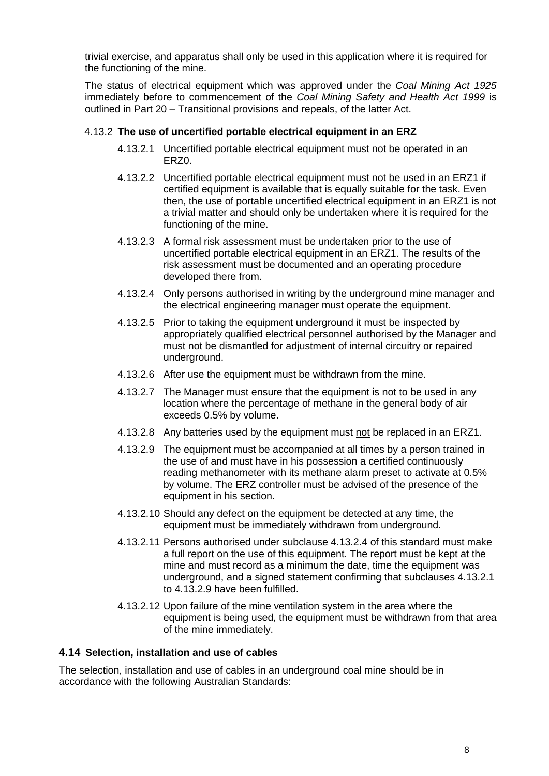trivial exercise, and apparatus shall only be used in this application where it is required for the functioning of the mine.

The status of electrical equipment which was approved under the *Coal Mining Act 1925* immediately before to commencement of the *Coal Mining Safety and Health Act 1999* is outlined in Part 20 – Transitional provisions and repeals, of the latter Act.

#### 4.13.2 **The use of uncertified portable electrical equipment in an ERZ**

- 4.13.2.1 Uncertified portable electrical equipment must not be operated in an ERZ0.
- 4.13.2.2 Uncertified portable electrical equipment must not be used in an ERZ1 if certified equipment is available that is equally suitable for the task. Even then, the use of portable uncertified electrical equipment in an ERZ1 is not a trivial matter and should only be undertaken where it is required for the functioning of the mine.
- 4.13.2.3 A formal risk assessment must be undertaken prior to the use of uncertified portable electrical equipment in an ERZ1. The results of the risk assessment must be documented and an operating procedure developed there from.
- 4.13.2.4 Only persons authorised in writing by the underground mine manager and the electrical engineering manager must operate the equipment.
- 4.13.2.5 Prior to taking the equipment underground it must be inspected by appropriately qualified electrical personnel authorised by the Manager and must not be dismantled for adjustment of internal circuitry or repaired underground.
- 4.13.2.6 After use the equipment must be withdrawn from the mine.
- 4.13.2.7 The Manager must ensure that the equipment is not to be used in any location where the percentage of methane in the general body of air exceeds 0.5% by volume.
- 4.13.2.8 Any batteries used by the equipment must not be replaced in an ERZ1.
- 4.13.2.9 The equipment must be accompanied at all times by a person trained in the use of and must have in his possession a certified continuously reading methanometer with its methane alarm preset to activate at 0.5% by volume. The ERZ controller must be advised of the presence of the equipment in his section.
- 4.13.2.10 Should any defect on the equipment be detected at any time, the equipment must be immediately withdrawn from underground.
- 4.13.2.11 Persons authorised under subclause 4.13.2.4 of this standard must make a full report on the use of this equipment. The report must be kept at the mine and must record as a minimum the date, time the equipment was underground, and a signed statement confirming that subclauses 4.13.2.1 to 4.13.2.9 have been fulfilled.
- 4.13.2.12 Upon failure of the mine ventilation system in the area where the equipment is being used, the equipment must be withdrawn from that area of the mine immediately.

#### <span id="page-8-0"></span>**4.14 Selection, installation and use of cables**

The selection, installation and use of cables in an underground coal mine should be in accordance with the following Australian Standards: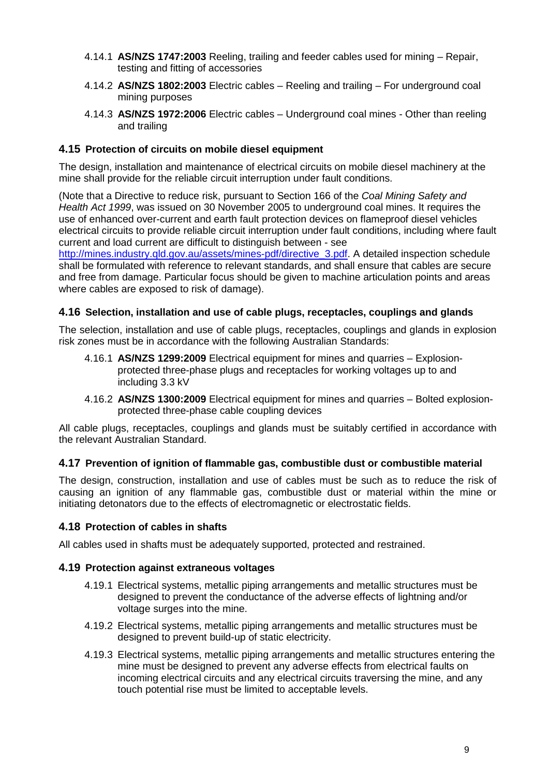- 4.14.1 **AS/NZS 1747:2003** Reeling, trailing and feeder cables used for mining Repair, testing and fitting of accessories
- 4.14.2 **AS/NZS 1802:2003** Electric cables Reeling and trailing For underground coal mining purposes
- 4.14.3 **AS/NZS 1972:2006** Electric cables Underground coal mines Other than reeling and trailing

#### <span id="page-9-0"></span>**4.15 Protection of circuits on mobile diesel equipment**

The design, installation and maintenance of electrical circuits on mobile diesel machinery at the mine shall provide for the reliable circuit interruption under fault conditions.

(Note that a Directive to reduce risk, pursuant to Section 166 of the *Coal Mining Safety and Health Act 1999*, was issued on 30 November 2005 to underground coal mines. It requires the use of enhanced over-current and earth fault protection devices on flameproof diesel vehicles electrical circuits to provide reliable circuit interruption under fault conditions, including where fault current and load current are difficult to distinguish between - see

[http://mines.industry.qld.gov.au/assets/mines-pdf/directive\\_3.pdf.](http://mines.industry.qld.gov.au/assets/mines-pdf/directive_3.pdf) A detailed inspection schedule shall be formulated with reference to relevant standards, and shall ensure that cables are secure and free from damage. Particular focus should be given to machine articulation points and areas where cables are exposed to risk of damage).

#### <span id="page-9-1"></span>**4.16 Selection, installation and use of cable plugs, receptacles, couplings and glands**

The selection, installation and use of cable plugs, receptacles, couplings and glands in explosion risk zones must be in accordance with the following Australian Standards:

- 4.16.1 **AS/NZS 1299:2009** Electrical equipment for mines and quarries Explosionprotected three-phase plugs and receptacles for working voltages up to and including 3.3 kV
- 4.16.2 **AS/NZS 1300:2009** Electrical equipment for mines and quarries Bolted explosionprotected three-phase cable coupling devices

All cable plugs, receptacles, couplings and glands must be suitably certified in accordance with the relevant Australian Standard.

#### <span id="page-9-2"></span>**4.17 Prevention of ignition of flammable gas, combustible dust or combustible material**

The design, construction, installation and use of cables must be such as to reduce the risk of causing an ignition of any flammable gas, combustible dust or material within the mine or initiating detonators due to the effects of electromagnetic or electrostatic fields.

#### <span id="page-9-3"></span>**4.18 Protection of cables in shafts**

All cables used in shafts must be adequately supported, protected and restrained.

#### <span id="page-9-4"></span>**4.19 Protection against extraneous voltages**

- 4.19.1 Electrical systems, metallic piping arrangements and metallic structures must be designed to prevent the conductance of the adverse effects of lightning and/or voltage surges into the mine.
- 4.19.2 Electrical systems, metallic piping arrangements and metallic structures must be designed to prevent build-up of static electricity.
- 4.19.3 Electrical systems, metallic piping arrangements and metallic structures entering the mine must be designed to prevent any adverse effects from electrical faults on incoming electrical circuits and any electrical circuits traversing the mine, and any touch potential rise must be limited to acceptable levels.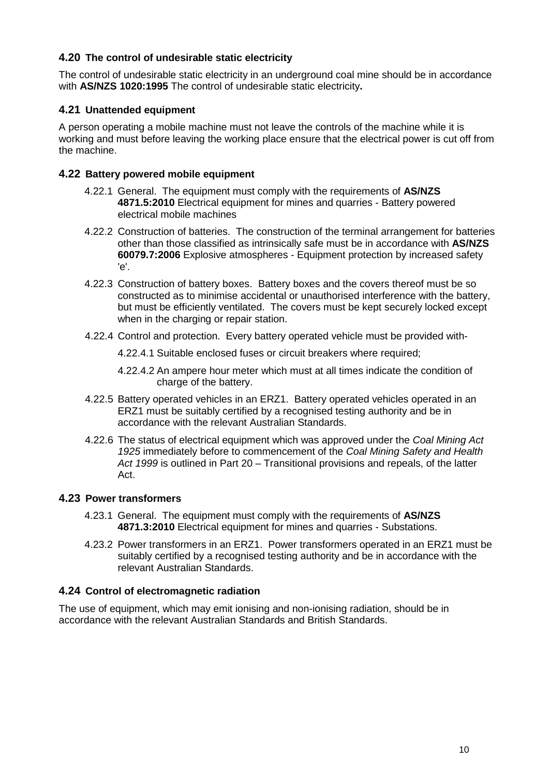#### <span id="page-10-0"></span>**4.20 The control of undesirable static electricity**

The control of undesirable static electricity in an underground coal mine should be in accordance with **AS/NZS 1020:1995** The control of undesirable static electricity**.**

#### <span id="page-10-1"></span>**4.21 Unattended equipment**

A person operating a mobile machine must not leave the controls of the machine while it is working and must before leaving the working place ensure that the electrical power is cut off from the machine.

#### <span id="page-10-2"></span>**4.22 Battery powered mobile equipment**

- 4.22.1 General. The equipment must comply with the requirements of **AS/NZS 4871.5:2010** Electrical equipment for mines and quarries - Battery powered electrical mobile machines
- 4.22.2 Construction of batteries. The construction of the terminal arrangement for batteries other than those classified as intrinsically safe must be in accordance with **AS/NZS 60079.7:2006** Explosive atmospheres - Equipment protection by increased safety 'e'.
- 4.22.3 Construction of battery boxes. Battery boxes and the covers thereof must be so constructed as to minimise accidental or unauthorised interference with the battery, but must be efficiently ventilated. The covers must be kept securely locked except when in the charging or repair station.
- 4.22.4 Control and protection. Every battery operated vehicle must be provided with-

4.22.4.1 Suitable enclosed fuses or circuit breakers where required;

- 4.22.4.2 An ampere hour meter which must at all times indicate the condition of charge of the battery.
- 4.22.5 Battery operated vehicles in an ERZ1. Battery operated vehicles operated in an ERZ1 must be suitably certified by a recognised testing authority and be in accordance with the relevant Australian Standards.
- 4.22.6 The status of electrical equipment which was approved under the *Coal Mining Act 1925* immediately before to commencement of the *Coal Mining Safety and Health Act 1999* is outlined in Part 20 – Transitional provisions and repeals, of the latter Act.

#### <span id="page-10-3"></span>**4.23 Power transformers**

- 4.23.1 General. The equipment must comply with the requirements of **AS/NZS 4871.3:2010** Electrical equipment for mines and quarries - Substations.
- 4.23.2 Power transformers in an ERZ1. Power transformers operated in an ERZ1 must be suitably certified by a recognised testing authority and be in accordance with the relevant Australian Standards.

### <span id="page-10-4"></span>**4.24 Control of electromagnetic radiation**

The use of equipment, which may emit ionising and non-ionising radiation, should be in accordance with the relevant Australian Standards and British Standards.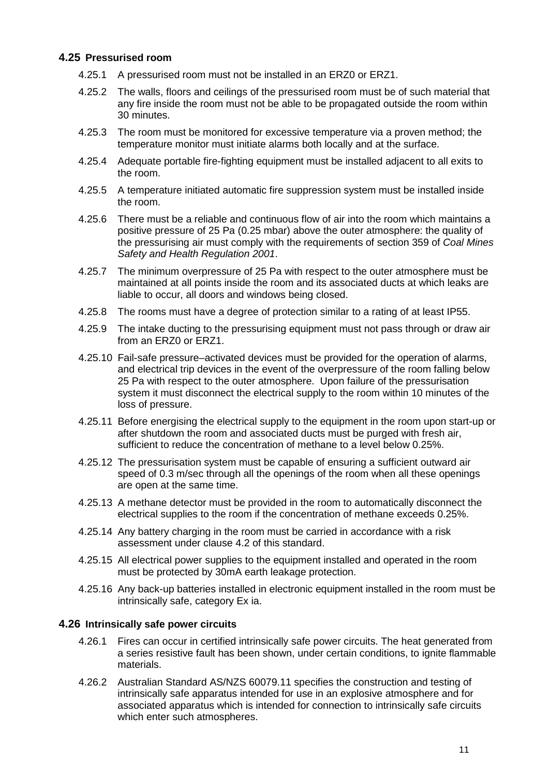#### <span id="page-11-0"></span>**4.25 Pressurised room**

- 4.25.1 A pressurised room must not be installed in an ERZ0 or ERZ1.
- 4.25.2 The walls, floors and ceilings of the pressurised room must be of such material that any fire inside the room must not be able to be propagated outside the room within 30 minutes.
- 4.25.3 The room must be monitored for excessive temperature via a proven method; the temperature monitor must initiate alarms both locally and at the surface.
- 4.25.4 Adequate portable fire-fighting equipment must be installed adjacent to all exits to the room.
- 4.25.5 A temperature initiated automatic fire suppression system must be installed inside the room.
- 4.25.6 There must be a reliable and continuous flow of air into the room which maintains a positive pressure of 25 Pa (0.25 mbar) above the outer atmosphere: the quality of the pressurising air must comply with the requirements of section 359 of *Coal Mines Safety and Health Regulation 2001*.
- 4.25.7 The minimum overpressure of 25 Pa with respect to the outer atmosphere must be maintained at all points inside the room and its associated ducts at which leaks are liable to occur, all doors and windows being closed.
- 4.25.8 The rooms must have a degree of protection similar to a rating of at least IP55.
- 4.25.9 The intake ducting to the pressurising equipment must not pass through or draw air from an ERZ0 or ERZ1.
- 4.25.10 Fail-safe pressure–activated devices must be provided for the operation of alarms, and electrical trip devices in the event of the overpressure of the room falling below 25 Pa with respect to the outer atmosphere. Upon failure of the pressurisation system it must disconnect the electrical supply to the room within 10 minutes of the loss of pressure.
- 4.25.11 Before energising the electrical supply to the equipment in the room upon start-up or after shutdown the room and associated ducts must be purged with fresh air, sufficient to reduce the concentration of methane to a level below 0.25%.
- 4.25.12 The pressurisation system must be capable of ensuring a sufficient outward air speed of 0.3 m/sec through all the openings of the room when all these openings are open at the same time.
- 4.25.13 A methane detector must be provided in the room to automatically disconnect the electrical supplies to the room if the concentration of methane exceeds 0.25%.
- 4.25.14 Any battery charging in the room must be carried in accordance with a risk assessment under clause 4.2 of this standard.
- 4.25.15 All electrical power supplies to the equipment installed and operated in the room must be protected by 30mA earth leakage protection.
- 4.25.16 Any back-up batteries installed in electronic equipment installed in the room must be intrinsically safe, category Ex ia.

#### <span id="page-11-1"></span>**4.26 Intrinsically safe power circuits**

- 4.26.1 Fires can occur in certified intrinsically safe power circuits. The heat generated from a series resistive fault has been shown, under certain conditions, to ignite flammable materials.
- 4.26.2 Australian Standard AS/NZS 60079.11 specifies the construction and testing of intrinsically safe apparatus intended for use in an explosive atmosphere and for associated apparatus which is intended for connection to intrinsically safe circuits which enter such atmospheres.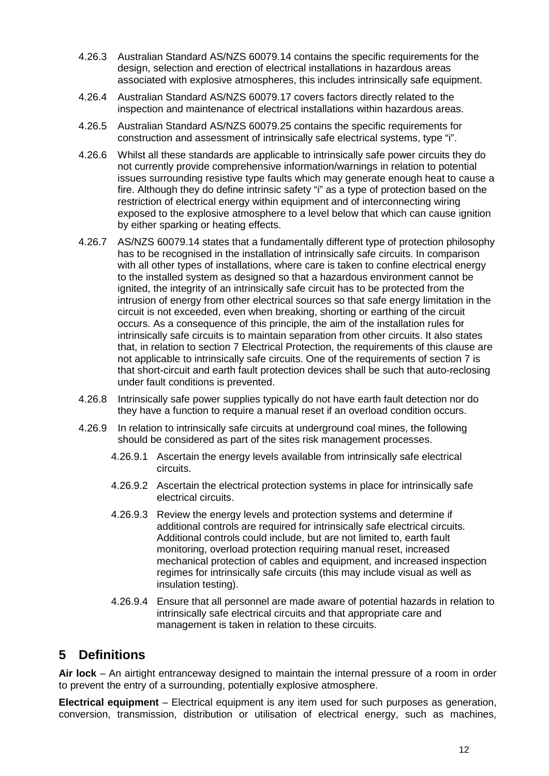- 4.26.3 Australian Standard AS/NZS 60079.14 contains the specific requirements for the design, selection and erection of electrical installations in hazardous areas associated with explosive atmospheres, this includes intrinsically safe equipment.
- 4.26.4 Australian Standard AS/NZS 60079.17 covers factors directly related to the inspection and maintenance of electrical installations within hazardous areas.
- 4.26.5 Australian Standard AS/NZS 60079.25 contains the specific requirements for construction and assessment of intrinsically safe electrical systems, type "i".
- 4.26.6 Whilst all these standards are applicable to intrinsically safe power circuits they do not currently provide comprehensive information/warnings in relation to potential issues surrounding resistive type faults which may generate enough heat to cause a fire. Although they do define intrinsic safety "i" as a type of protection based on the restriction of electrical energy within equipment and of interconnecting wiring exposed to the explosive atmosphere to a level below that which can cause ignition by either sparking or heating effects.
- 4.26.7 AS/NZS 60079.14 states that a fundamentally different type of protection philosophy has to be recognised in the installation of intrinsically safe circuits. In comparison with all other types of installations, where care is taken to confine electrical energy to the installed system as designed so that a hazardous environment cannot be ignited, the integrity of an intrinsically safe circuit has to be protected from the intrusion of energy from other electrical sources so that safe energy limitation in the circuit is not exceeded, even when breaking, shorting or earthing of the circuit occurs. As a consequence of this principle, the aim of the installation rules for intrinsically safe circuits is to maintain separation from other circuits. It also states that, in relation to section 7 Electrical Protection, the requirements of this clause are not applicable to intrinsically safe circuits. One of the requirements of section 7 is that short-circuit and earth fault protection devices shall be such that auto-reclosing under fault conditions is prevented.
- 4.26.8 Intrinsically safe power supplies typically do not have earth fault detection nor do they have a function to require a manual reset if an overload condition occurs.
- 4.26.9 In relation to intrinsically safe circuits at underground coal mines, the following should be considered as part of the sites risk management processes.
	- 4.26.9.1 Ascertain the energy levels available from intrinsically safe electrical circuits.
	- 4.26.9.2 Ascertain the electrical protection systems in place for intrinsically safe electrical circuits.
	- 4.26.9.3 Review the energy levels and protection systems and determine if additional controls are required for intrinsically safe electrical circuits. Additional controls could include, but are not limited to, earth fault monitoring, overload protection requiring manual reset, increased mechanical protection of cables and equipment, and increased inspection regimes for intrinsically safe circuits (this may include visual as well as insulation testing).
	- 4.26.9.4 Ensure that all personnel are made aware of potential hazards in relation to intrinsically safe electrical circuits and that appropriate care and management is taken in relation to these circuits.

## <span id="page-12-0"></span>**5 Definitions**

**Air lock** – An airtight entranceway designed to maintain the internal pressure of a room in order to prevent the entry of a surrounding, potentially explosive atmosphere.

**Electrical equipment** – Electrical equipment is any item used for such purposes as generation, conversion, transmission, distribution or utilisation of electrical energy, such as machines,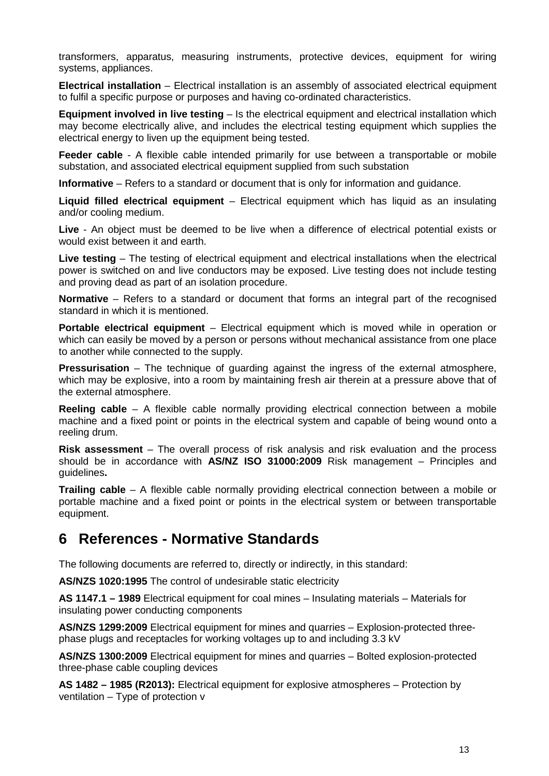transformers, apparatus, measuring instruments, protective devices, equipment for wiring systems, appliances.

**Electrical installation** – Electrical installation is an assembly of associated electrical equipment to fulfil a specific purpose or purposes and having co-ordinated characteristics.

**Equipment involved in live testing** – Is the electrical equipment and electrical installation which may become electrically alive, and includes the electrical testing equipment which supplies the electrical energy to liven up the equipment being tested.

**Feeder cable** - A flexible cable intended primarily for use between a transportable or mobile substation, and associated electrical equipment supplied from such substation

**Informative** – Refers to a standard or document that is only for information and guidance.

**Liquid filled electrical equipment** – Electrical equipment which has liquid as an insulating and/or cooling medium.

**Live** - An object must be deemed to be live when a difference of electrical potential exists or would exist between it and earth.

**Live testing** – The testing of electrical equipment and electrical installations when the electrical power is switched on and live conductors may be exposed. Live testing does not include testing and proving dead as part of an isolation procedure.

**Normative** – Refers to a standard or document that forms an integral part of the recognised standard in which it is mentioned.

**Portable electrical equipment** – Electrical equipment which is moved while in operation or which can easily be moved by a person or persons without mechanical assistance from one place to another while connected to the supply.

**Pressurisation** – The technique of quarding against the ingress of the external atmosphere, which may be explosive, into a room by maintaining fresh air therein at a pressure above that of the external atmosphere.

**Reeling cable** – A flexible cable normally providing electrical connection between a mobile machine and a fixed point or points in the electrical system and capable of being wound onto a reeling drum.

**Risk assessment** – The overall process of risk analysis and risk evaluation and the process should be in accordance with **AS/NZ ISO 31000:2009** Risk management – Principles and guidelines**.**

**Trailing cable** – A flexible cable normally providing electrical connection between a mobile or portable machine and a fixed point or points in the electrical system or between transportable equipment.

## <span id="page-13-0"></span>**6 References - Normative Standards**

The following documents are referred to, directly or indirectly, in this standard:

**AS/NZS 1020:1995** The control of undesirable static electricity

**AS 1147.1 – 1989** Electrical equipment for coal mines – Insulating materials – Materials for insulating power conducting components

**AS/NZS 1299:2009** Electrical equipment for mines and quarries – Explosion-protected threephase plugs and receptacles for working voltages up to and including 3.3 kV

**AS/NZS 1300:2009** Electrical equipment for mines and quarries – Bolted explosion-protected three-phase cable coupling devices

**AS 1482 – 1985 (R2013):** Electrical equipment for explosive atmospheres – Protection by ventilation – Type of protection v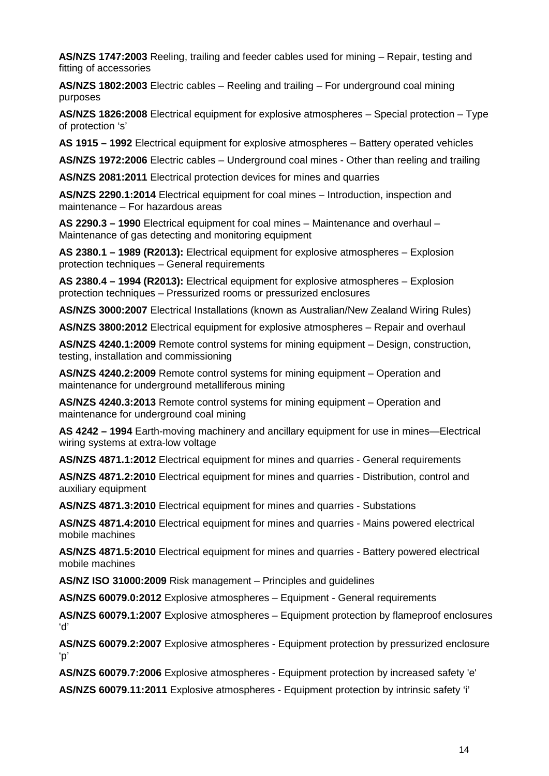**AS/NZS 1747:2003** Reeling, trailing and feeder cables used for mining – Repair, testing and fitting of accessories

**AS/NZS 1802:2003** Electric cables – Reeling and trailing – For underground coal mining purposes

**AS/NZS 1826:2008** Electrical equipment for explosive atmospheres – Special protection – Type of protection 's'

**AS 1915 – 1992** Electrical equipment for explosive atmospheres – Battery operated vehicles

**AS/NZS 1972:2006** Electric cables – Underground coal mines - Other than reeling and trailing

**AS/NZS 2081:2011** Electrical protection devices for mines and quarries

**AS/NZS 2290.1:2014** Electrical equipment for coal mines – Introduction, inspection and maintenance – For hazardous areas

**AS 2290.3 – 1990** Electrical equipment for coal mines – Maintenance and overhaul – Maintenance of gas detecting and monitoring equipment

**AS 2380.1 – 1989 (R2013):** Electrical equipment for explosive atmospheres – Explosion protection techniques – General requirements

**AS 2380.4 – 1994 (R2013):** Electrical equipment for explosive atmospheres – Explosion protection techniques – Pressurized rooms or pressurized enclosures

**AS/NZS 3000:2007** Electrical Installations (known as Australian/New Zealand Wiring Rules)

**AS/NZS 3800:2012** Electrical equipment for explosive atmospheres – Repair and overhaul

**AS/NZS 4240.1:2009** Remote control systems for mining equipment – Design, construction, testing, installation and commissioning

**AS/NZS 4240.2:2009** Remote control systems for mining equipment – Operation and maintenance for underground metalliferous mining

**AS/NZS 4240.3:2013** Remote control systems for mining equipment – Operation and maintenance for underground coal mining

**AS 4242 – 1994** Earth-moving machinery and ancillary equipment for use in mines—Electrical wiring systems at extra-low voltage

**AS/NZS 4871.1:2012** Electrical equipment for mines and quarries - General requirements

**AS/NZS 4871.2:2010** Electrical equipment for mines and quarries - Distribution, control and auxiliary equipment

**AS/NZS 4871.3:2010** Electrical equipment for mines and quarries - Substations

**AS/NZS 4871.4:2010** Electrical equipment for mines and quarries - Mains powered electrical mobile machines

**AS/NZS 4871.5:2010** Electrical equipment for mines and quarries - Battery powered electrical mobile machines

**AS/NZ ISO 31000:2009** Risk management – Principles and guidelines

**AS/NZS 60079.0:2012** Explosive atmospheres – Equipment - General requirements

**AS/NZS 60079.1:2007** Explosive atmospheres – Equipment protection by flameproof enclosures 'd'

**AS/NZS 60079.2:2007** Explosive atmospheres - Equipment protection by pressurized enclosure 'p'

**AS/NZS 60079.7:2006** Explosive atmospheres - Equipment protection by increased safety 'e'

**AS/NZS 60079.11:2011** Explosive atmospheres - Equipment protection by intrinsic safety 'i'